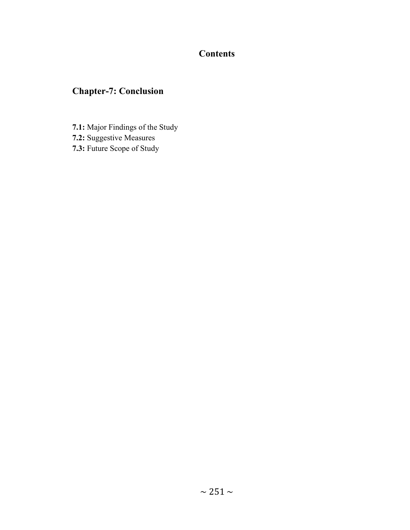## **Contents**

# Chapter-7: Conclusion

- 7.1: Major Findings of the Study
- 7.2: Suggestive Measures
- 7.3: Future Scope of Study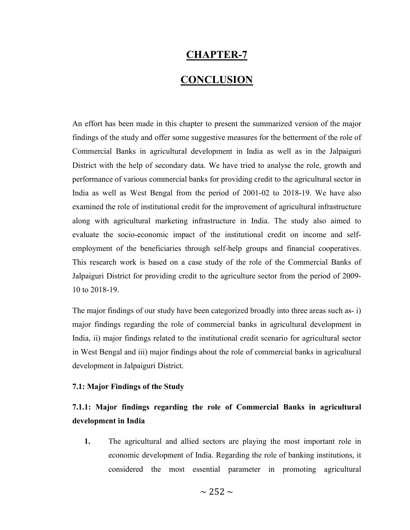### CHAPTER-7

### **CONCLUSION**

An effort has been made in this chapter to present the summarized version of the major findings of the study and offer some suggestive measures for the betterment of the role of Commercial Banks in agricultural development in India as well as in the Jalpaiguri District with the help of secondary data. We have tried to analyse the role, growth and performance of various commercial banks for providing credit to the agricultural sector in India as well as West Bengal from the period of 2001-02 to 2018-19. We have also examined the role of institutional credit for the improvement of agricultural infrastructure along with agricultural marketing infrastructure in India. The study also aimed to evaluate the socio-economic impact of the institutional credit on income and selfemployment of the beneficiaries through self-help groups and financial cooperatives. This research work is based on a case study of the role of the Commercial Banks of Jalpaiguri District for providing credit to the agriculture sector from the period of 2009- 10 to 2018-19.

The major findings of our study have been categorized broadly into three areas such as- i) major findings regarding the role of commercial banks in agricultural development in India, ii) major findings related to the institutional credit scenario for agricultural sector in West Bengal and iii) major findings about the role of commercial banks in agricultural development in Jalpaiguri District.

#### 7.1: Major Findings of the Study

### 7.1.1: Major findings regarding the role of Commercial Banks in agricultural development in India

1. The agricultural and allied sectors are playing the most important role in economic development of India. Regarding the role of banking institutions, it considered the most essential parameter in promoting agricultural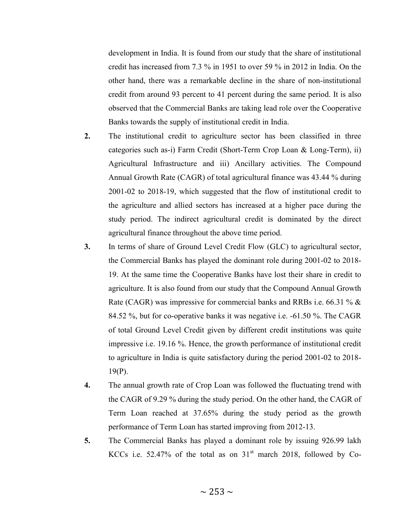development in India. It is found from our study that the share of institutional credit has increased from 7.3 % in 1951 to over 59 % in 2012 in India. On the other hand, there was a remarkable decline in the share of non-institutional credit from around 93 percent to 41 percent during the same period. It is also observed that the Commercial Banks are taking lead role over the Cooperative Banks towards the supply of institutional credit in India.

- 2. The institutional credit to agriculture sector has been classified in three categories such as-i) Farm Credit (Short-Term Crop Loan & Long-Term), ii) Agricultural Infrastructure and iii) Ancillary activities. The Compound Annual Growth Rate (CAGR) of total agricultural finance was 43.44 % during 2001-02 to 2018-19, which suggested that the flow of institutional credit to the agriculture and allied sectors has increased at a higher pace during the study period. The indirect agricultural credit is dominated by the direct agricultural finance throughout the above time period.
- 3. In terms of share of Ground Level Credit Flow (GLC) to agricultural sector, the Commercial Banks has played the dominant role during 2001-02 to 2018- 19. At the same time the Cooperative Banks have lost their share in credit to agriculture. It is also found from our study that the Compound Annual Growth Rate (CAGR) was impressive for commercial banks and RRBs i.e. 66.31 % & 84.52 %, but for co-operative banks it was negative i.e. -61.50 %. The CAGR of total Ground Level Credit given by different credit institutions was quite impressive i.e. 19.16 %. Hence, the growth performance of institutional credit to agriculture in India is quite satisfactory during the period 2001-02 to 2018- 19(P).
- 4. The annual growth rate of Crop Loan was followed the fluctuating trend with the CAGR of 9.29 % during the study period. On the other hand, the CAGR of Term Loan reached at 37.65% during the study period as the growth performance of Term Loan has started improving from 2012-13.
- 5. The Commercial Banks has played a dominant role by issuing 926.99 lakh KCCs i.e. 52.47% of the total as on  $31<sup>st</sup>$  march 2018, followed by Co-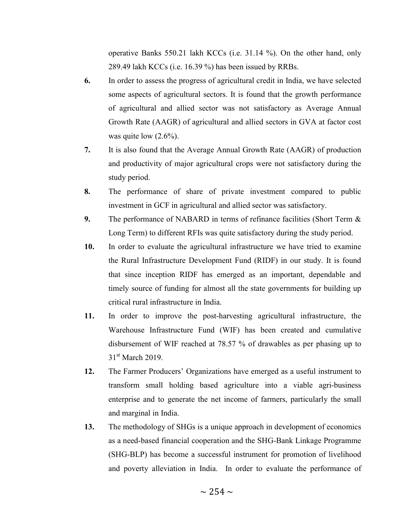operative Banks 550.21 lakh KCCs (i.e. 31.14 %). On the other hand, only 289.49 lakh KCCs (i.e. 16.39 %) has been issued by RRBs.

- 6. In order to assess the progress of agricultural credit in India, we have selected some aspects of agricultural sectors. It is found that the growth performance of agricultural and allied sector was not satisfactory as Average Annual Growth Rate (AAGR) of agricultural and allied sectors in GVA at factor cost was quite low  $(2.6\%)$ .
- 7. It is also found that the Average Annual Growth Rate (AAGR) of production and productivity of major agricultural crops were not satisfactory during the study period.
- 8. The performance of share of private investment compared to public investment in GCF in agricultural and allied sector was satisfactory.
- 9. The performance of NABARD in terms of refinance facilities (Short Term & Long Term) to different RFIs was quite satisfactory during the study period.
- 10. In order to evaluate the agricultural infrastructure we have tried to examine the Rural Infrastructure Development Fund (RIDF) in our study. It is found that since inception RIDF has emerged as an important, dependable and timely source of funding for almost all the state governments for building up critical rural infrastructure in India.
- 11. In order to improve the post-harvesting agricultural infrastructure, the Warehouse Infrastructure Fund (WIF) has been created and cumulative disbursement of WIF reached at 78.57 % of drawables as per phasing up to 31<sup>st</sup> March 2019.
- 12. The Farmer Producers' Organizations have emerged as a useful instrument to transform small holding based agriculture into a viable agri-business enterprise and to generate the net income of farmers, particularly the small and marginal in India.
- 13. The methodology of SHGs is a unique approach in development of economics as a need-based financial cooperation and the SHG-Bank Linkage Programme (SHG-BLP) has become a successful instrument for promotion of livelihood and poverty alleviation in India. In order to evaluate the performance of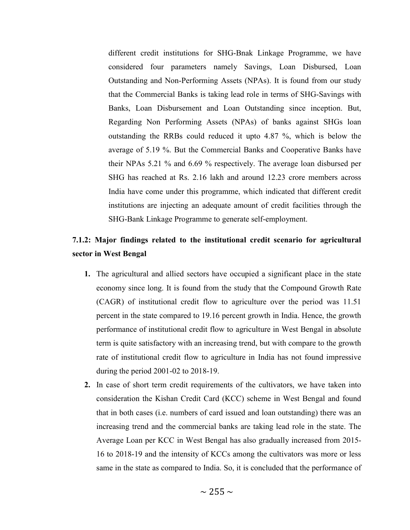different credit institutions for SHG-Bnak Linkage Programme, we have considered four parameters namely Savings, Loan Disbursed, Loan Outstanding and Non-Performing Assets (NPAs). It is found from our study that the Commercial Banks is taking lead role in terms of SHG-Savings with Banks, Loan Disbursement and Loan Outstanding since inception. But, Regarding Non Performing Assets (NPAs) of banks against SHGs loan outstanding the RRBs could reduced it upto 4.87 %, which is below the average of 5.19 %. But the Commercial Banks and Cooperative Banks have their NPAs 5.21 % and 6.69 % respectively. The average loan disbursed per SHG has reached at Rs. 2.16 lakh and around 12.23 crore members across India have come under this programme, which indicated that different credit institutions are injecting an adequate amount of credit facilities through the SHG-Bank Linkage Programme to generate self-employment.

### 7.1.2: Major findings related to the institutional credit scenario for agricultural sector in West Bengal

- 1. The agricultural and allied sectors have occupied a significant place in the state economy since long. It is found from the study that the Compound Growth Rate (CAGR) of institutional credit flow to agriculture over the period was 11.51 percent in the state compared to 19.16 percent growth in India. Hence, the growth performance of institutional credit flow to agriculture in West Bengal in absolute term is quite satisfactory with an increasing trend, but with compare to the growth rate of institutional credit flow to agriculture in India has not found impressive during the period 2001-02 to 2018-19.
- 2. In case of short term credit requirements of the cultivators, we have taken into consideration the Kishan Credit Card (KCC) scheme in West Bengal and found that in both cases (i.e. numbers of card issued and loan outstanding) there was an increasing trend and the commercial banks are taking lead role in the state. The Average Loan per KCC in West Bengal has also gradually increased from 2015- 16 to 2018-19 and the intensity of KCCs among the cultivators was more or less same in the state as compared to India. So, it is concluded that the performance of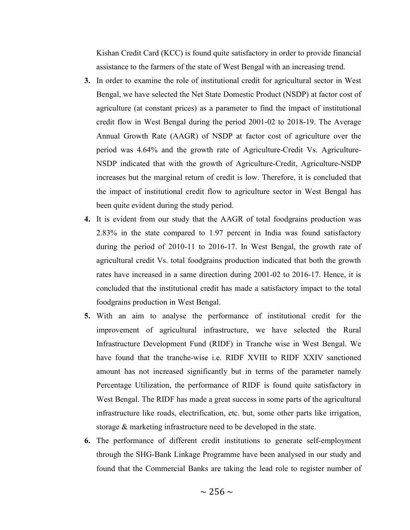Kishan Credit Card (KCC) is found quite satisfactory in order to provide financial assistance to the farmers of the state of West Bengal with an increasing trend.

- 3. In order to examine the role of institutional credit for agricultural sector in West Bengal, we have selected the Net State Domestic Product (NSDP) at factor cost of agriculture (at constant prices) as a parameter to find the impact of institutional credit flow in West Bengal during the period 2001-02 to 2018-19. The Average Annual Growth Rate (AAGR) of NSDP at factor cost of agriculture over the period was 4.64% and the growth rate of Agriculture-Credit Vs. Agriculture-NSDP indicated that with the growth of Agriculture-Credit, Agriculture-NSDP increases but the marginal return of credit is low. Therefore, it is concluded that the impact of institutional credit flow to agriculture sector in West Bengal has been quite evident during the study period.
- 4. It is evident from our study that the AAGR of total foodgrains production was 2.83% in the state compared to 1.97 percent in India was found satisfactory during the period of 2010-11 to 2016-17. In West Bengal, the growth rate of agricultural credit Vs. total foodgrains production indicated that both the growth rates have increased in a same direction during 2001-02 to 2016-17. Hence, it is concluded that the institutional credit has made a satisfactory impact to the total foodgrains production in West Bengal.
- 5. With an aim to analyse the performance of institutional credit for the improvement of agricultural infrastructure, we have selected the Rural Infrastructure Development Fund (RIDF) in Tranche wise in West Bengal. We have found that the tranche-wise i.e. RIDF XVIII to RIDF XXIV sanctioned amount has not increased significantly but in terms of the parameter namely Percentage Utilization, the performance of RIDF is found quite satisfactory in West Bengal. The RIDF has made a great success in some parts of the agricultural infrastructure like roads, electrification, etc. but, some other parts like irrigation, storage & marketing infrastructure need to be developed in the state.
- 6. The performance of different credit institutions to generate self-employment through the SHG-Bank Linkage Programme have been analysed in our study and found that the Commercial Banks are taking the lead role to register number of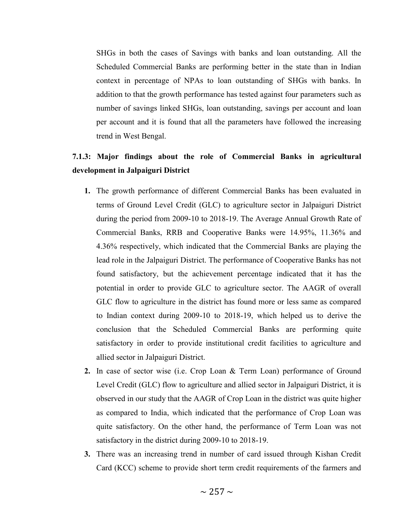SHGs in both the cases of Savings with banks and loan outstanding. All the Scheduled Commercial Banks are performing better in the state than in Indian context in percentage of NPAs to loan outstanding of SHGs with banks. In addition to that the growth performance has tested against four parameters such as number of savings linked SHGs, loan outstanding, savings per account and loan per account and it is found that all the parameters have followed the increasing trend in West Bengal.

## 7.1.3: Major findings about the role of Commercial Banks in agricultural development in Jalpaiguri District

- 1. The growth performance of different Commercial Banks has been evaluated in terms of Ground Level Credit (GLC) to agriculture sector in Jalpaiguri District during the period from 2009-10 to 2018-19. The Average Annual Growth Rate of Commercial Banks, RRB and Cooperative Banks were 14.95%, 11.36% and 4.36% respectively, which indicated that the Commercial Banks are playing the lead role in the Jalpaiguri District. The performance of Cooperative Banks has not found satisfactory, but the achievement percentage indicated that it has the potential in order to provide GLC to agriculture sector. The AAGR of overall GLC flow to agriculture in the district has found more or less same as compared to Indian context during 2009-10 to 2018-19, which helped us to derive the conclusion that the Scheduled Commercial Banks are performing quite satisfactory in order to provide institutional credit facilities to agriculture and allied sector in Jalpaiguri District.
- 2. In case of sector wise (i.e. Crop Loan & Term Loan) performance of Ground Level Credit (GLC) flow to agriculture and allied sector in Jalpaiguri District, it is observed in our study that the AAGR of Crop Loan in the district was quite higher as compared to India, which indicated that the performance of Crop Loan was quite satisfactory. On the other hand, the performance of Term Loan was not satisfactory in the district during 2009-10 to 2018-19.
- 3. There was an increasing trend in number of card issued through Kishan Credit Card (KCC) scheme to provide short term credit requirements of the farmers and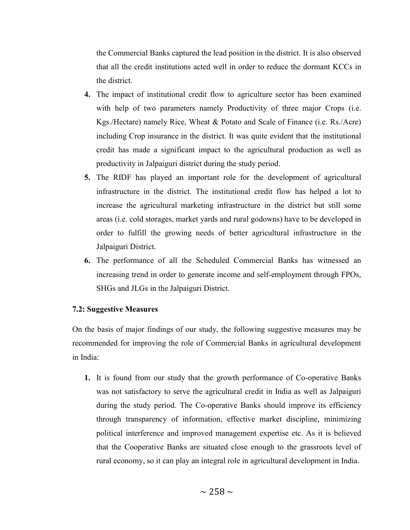the Commercial Banks captured the lead position in the district. It is also observed that all the credit institutions acted well in order to reduce the dormant KCCs in the district.

- 4. The impact of institutional credit flow to agriculture sector has been examined with help of two parameters namely Productivity of three major Crops (i.e. Kgs./Hectare) namely Rice, Wheat & Potato and Scale of Finance (i.e. Rs./Acre) including Crop insurance in the district. It was quite evident that the institutional credit has made a significant impact to the agricultural production as well as productivity in Jalpaiguri district during the study period.
- 5. The RIDF has played an important role for the development of agricultural infrastructure in the district. The institutional credit flow has helped a lot to increase the agricultural marketing infrastructure in the district but still some areas (i.e. cold storages, market yards and rural godowns) have to be developed in order to fulfill the growing needs of better agricultural infrastructure in the Jalpaiguri District.
- 6. The performance of all the Scheduled Commercial Banks has witnessed an increasing trend in order to generate income and self-employment through FPOs, SHGs and JLGs in the Jalpaiguri District.

#### 7.2: Suggestive Measures

On the basis of major findings of our study, the following suggestive measures may be recommended for improving the role of Commercial Banks in agricultural development in India:

1. It is found from our study that the growth performance of Co-operative Banks was not satisfactory to serve the agricultural credit in India as well as Jalpaiguri during the study period. The Co-operative Banks should improve its efficiency through transparency of information, effective market discipline, minimizing political interference and improved management expertise etc. As it is believed that the Cooperative Banks are situated close enough to the grassroots level of rural economy, so it can play an integral role in agricultural development in India.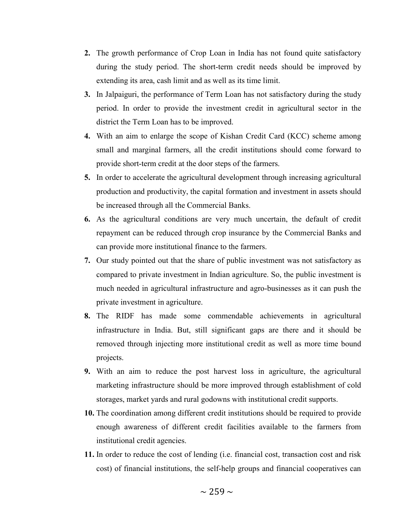- 2. The growth performance of Crop Loan in India has not found quite satisfactory during the study period. The short-term credit needs should be improved by extending its area, cash limit and as well as its time limit.
- 3. In Jalpaiguri, the performance of Term Loan has not satisfactory during the study period. In order to provide the investment credit in agricultural sector in the district the Term Loan has to be improved.
- 4. With an aim to enlarge the scope of Kishan Credit Card (KCC) scheme among small and marginal farmers, all the credit institutions should come forward to provide short-term credit at the door steps of the farmers.
- 5. In order to accelerate the agricultural development through increasing agricultural production and productivity, the capital formation and investment in assets should be increased through all the Commercial Banks.
- 6. As the agricultural conditions are very much uncertain, the default of credit repayment can be reduced through crop insurance by the Commercial Banks and can provide more institutional finance to the farmers.
- 7. Our study pointed out that the share of public investment was not satisfactory as compared to private investment in Indian agriculture. So, the public investment is much needed in agricultural infrastructure and agro-businesses as it can push the private investment in agriculture.
- 8. The RIDF has made some commendable achievements in agricultural infrastructure in India. But, still significant gaps are there and it should be removed through injecting more institutional credit as well as more time bound projects.
- 9. With an aim to reduce the post harvest loss in agriculture, the agricultural marketing infrastructure should be more improved through establishment of cold storages, market yards and rural godowns with institutional credit supports.
- 10. The coordination among different credit institutions should be required to provide enough awareness of different credit facilities available to the farmers from institutional credit agencies.
- 11. In order to reduce the cost of lending (i.e. financial cost, transaction cost and risk cost) of financial institutions, the self-help groups and financial cooperatives can